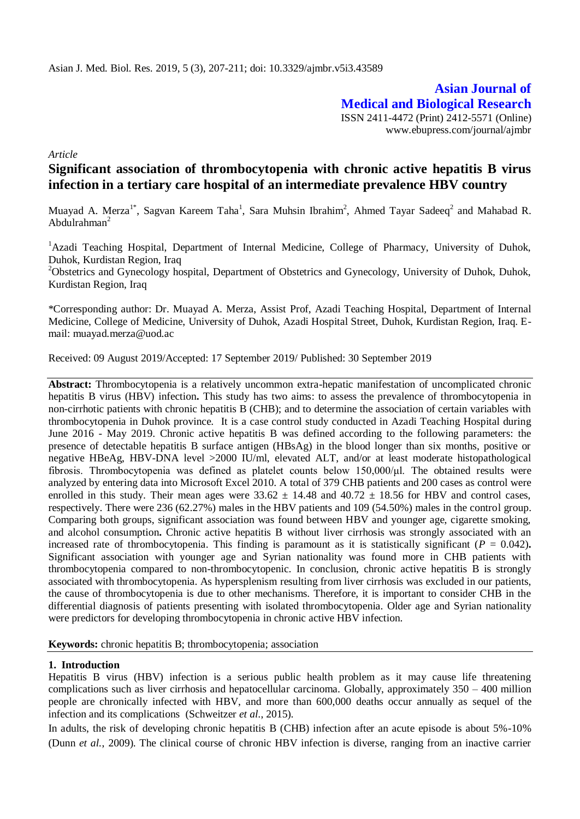**Asian Journal of Medical and Biological Research** ISSN 2411-4472 (Print) 2412-5571 (Online) www.ebupress.com/journal/ajmbr

*Article*

# **Significant association of thrombocytopenia with chronic active hepatitis B virus infection in a tertiary care hospital of an intermediate prevalence HBV country**

Muayad A. Merza<sup>1\*</sup>, Sagvan Kareem Taha<sup>1</sup>, Sara Muhsin Ibrahim<sup>2</sup>, Ahmed Tayar Sadeeq<sup>2</sup> and Mahabad R. Abdulrahman<sup>2</sup>

<sup>1</sup>Azadi Teaching Hospital, Department of Internal Medicine, College of Pharmacy, University of Duhok, Duhok, Kurdistan Region, Iraq

<sup>2</sup>Obstetrics and Gynecology hospital, Department of Obstetrics and Gynecology, University of Duhok, Duhok, Kurdistan Region, Iraq

\*Corresponding author: Dr. Muayad A. Merza, Assist Prof, Azadi Teaching Hospital, Department of Internal Medicine, College of Medicine, University of Duhok, Azadi Hospital Street, Duhok, Kurdistan Region, Iraq. Email: [muayad.merza@uod.ac](mailto:muayad.merza@uod.ac)

Received: 09 August 2019/Accepted: 17 September 2019/ Published: 30 September 2019

**Abstract:** Thrombocytopenia is a relatively uncommon extra-hepatic manifestation of uncomplicated chronic hepatitis B virus (HBV) infection**.** This study has two aims: to assess the prevalence of thrombocytopenia in non-cirrhotic patients with chronic hepatitis B (CHB); and to determine the association of certain variables with thrombocytopenia in Duhok province. It is a case control study conducted in Azadi Teaching Hospital during June 2016 - May 2019. Chronic active hepatitis B was defined according to the following parameters: the presence of detectable hepatitis B surface antigen (HBsAg) in the blood longer than six months, positive or negative HBeAg, HBV-DNA level >2000 IU/ml, elevated ALT, and/or at least moderate histopathological fibrosis. Thrombocytopenia was defined as platelet counts below 150,000/μl. The obtained results were analyzed by entering data into Microsoft Excel 2010. A total of 379 CHB patients and 200 cases as control were enrolled in this study. Their mean ages were  $33.62 \pm 14.48$  and  $40.72 \pm 18.56$  for HBV and control cases, respectively. There were 236 (62.27%) males in the HBV patients and 109 (54.50%) males in the control group. Comparing both groups, significant association was found between HBV and younger age, cigarette smoking, and alcohol consumption**.** Chronic active hepatitis B without liver cirrhosis was strongly associated with an increased rate of thrombocytopenia. This finding is paramount as it is statistically significant ( $P = 0.042$ ). Significant association with younger age and Syrian nationality was found more in CHB patients with thrombocytopenia compared to non-thrombocytopenic. In conclusion, chronic active hepatitis B is strongly associated with thrombocytopenia. As hypersplenism resulting from liver cirrhosis was excluded in our patients, the cause of thrombocytopenia is due to other mechanisms. Therefore, it is important to consider CHB in the differential diagnosis of patients presenting with isolated thrombocytopenia. Older age and Syrian nationality were predictors for developing thrombocytopenia in chronic active HBV infection.

## **Keywords:** chronic hepatitis B; thrombocytopenia; association

## **1. Introduction**

Hepatitis B virus (HBV) infection is a serious public health problem as it may cause life threatening complications such as liver cirrhosis and hepatocellular carcinoma. Globally, approximately 350 – 400 million people are chronically infected with HBV, and more than 600,000 deaths occur annually as sequel of the infection and its complications [\(Schweitzer](#page-4-0) *et al.*, 2015).

In adults, the risk of developing chronic hepatitis B (CHB) infection after an acute episode is about 5%-10% (Dunn *et al.*[, 2009\)](#page-4-1). The clinical course of chronic HBV infection is diverse, ranging from an inactive carrier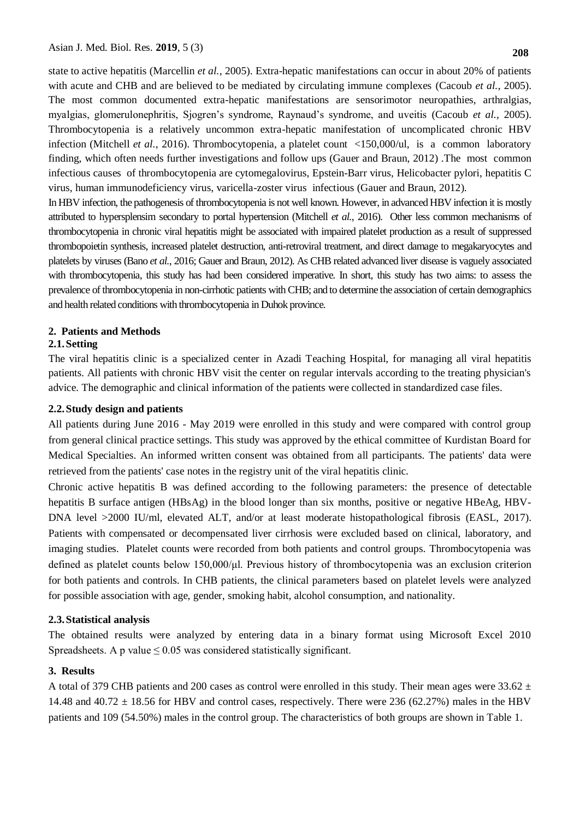state to active hepatitis [\(Marcellin](#page-4-2) *et al.*, 2005). Extra-hepatic manifestations can occur in about 20% of patients with acute and CHB and are believed to be mediated by circulating immune complexes [\(Cacoub](#page-4-3) *et al.*, 2005). The most common documented extra-hepatic manifestations are sensorimotor neuropathies, arthralgias, myalgias, glomerulonephritis, Sjogren's syndrome, Raynaud's syndrome, and uveitis [\(Cacoub](#page-4-3) *et al.*, 2005). Thrombocytopenia is a relatively uncommon extra-hepatic manifestation of uncomplicated chronic HBV infection [\(Mitchell](#page-4-4) *et al.*, 2016). Thrombocytopenia, a platelet count <150,000/ul, is a common laboratory finding, which often needs further investigations and follow ups [\(Gauer and Braun, 2012\)](#page-4-5) .The most common infectious causes of thrombocytopenia are cytomegalovirus, Epstein-Barr virus, Helicobacter pylori, hepatitis C virus, human immunodeficiency virus, varicella-zoster virus infectious [\(Gauer and Braun, 2012\)](#page-4-5).

In HBV infection, the pathogenesis of thrombocytopenia is not well known. However, in advanced HBV infection it is mostly attributed to hypersplensim secondary to portal hypertension [\(Mitchell](#page-4-4) *et al.*, 2016). Other less common mechanisms of thrombocytopenia in chronic viral hepatitis might be associated with impaired platelet production as a result of suppressed thrombopoietin synthesis, increased platelet destruction, anti-retroviral treatment, and direct damage to megakaryocytes and platelets by viruses (Bano *et al.*[, 2016;](#page-3-0) Gauer [and Braun, 2012\)](#page-4-5). As CHB related advanced liver disease is vaguely associated with thrombocytopenia, this study has had been considered imperative. In short, this study has two aims: to assess the prevalence of thrombocytopenia in non-cirrhotic patients with CHB; and to determine the association of certain demographics and health related conditions with thrombocytopenia in Duhok province.

## **2. Patients and Methods**

### **2.1.Setting**

The viral hepatitis clinic is a specialized center in Azadi Teaching Hospital, for managing all viral hepatitis patients. All patients with chronic HBV visit the center on regular intervals according to the treating physician's advice. The demographic and clinical information of the patients were collected in standardized case files.

### **2.2.Study design and patients**

All patients during June 2016 - May 2019 were enrolled in this study and were compared with control group from general clinical practice settings. This study was approved by the ethical committee of Kurdistan Board for Medical Specialties. An informed written consent was obtained from all participants. The patients' data were retrieved from the patients' case notes in the registry unit of the viral hepatitis clinic.

Chronic active hepatitis B was defined according to the following parameters: the presence of detectable hepatitis B surface antigen (HBsAg) in the blood longer than six months, positive or negative HBeAg, HBV-DNA level >2000 IU/ml, elevated ALT, and/or at least moderate histopathological fibrosis (EASL, 2017). Patients with compensated or decompensated liver cirrhosis were excluded based on clinical, laboratory, and imaging studies. Platelet counts were recorded from both patients and control groups. Thrombocytopenia was defined as platelet counts below 150,000/μl. Previous history of thrombocytopenia was an exclusion criterion for both patients and controls. In CHB patients, the clinical parameters based on platelet levels were analyzed for possible association with age, gender, smoking habit, alcohol consumption, and nationality.

### **2.3.Statistical analysis**

The obtained results were analyzed by entering data in a binary format using Microsoft Excel 2010 Spreadsheets. A p value  $\leq 0.05$  was considered statistically significant.

## **3. Results**

A total of 379 CHB patients and 200 cases as control were enrolled in this study. Their mean ages were  $33.62 \pm$ 14.48 and  $40.72 \pm 18.56$  for HBV and control cases, respectively. There were 236 (62.27%) males in the HBV patients and 109 (54.50%) males in the control group. The characteristics of both groups are shown in Table 1.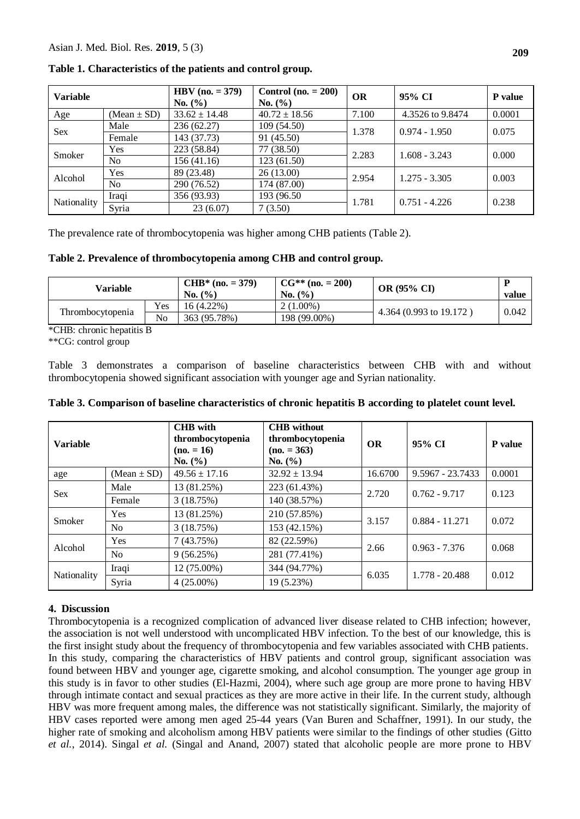| <b>Variable</b> |                 | $HBV$ (no. = 379)<br>No. (%) | Control (no. $= 200$ )<br>No. $(\% )$ | OR    | 95% CI           | <b>P</b> value |
|-----------------|-----------------|------------------------------|---------------------------------------|-------|------------------|----------------|
| Age             | $(Mean \pm SD)$ | $33.62 \pm 14.48$            | $40.72 \pm 18.56$                     | 7.100 | 4.3526 to 9.8474 | 0.0001         |
| Sex             | Male            | 236 (62.27)                  | 109 (54.50)                           | 1.378 | $0.974 - 1.950$  | 0.075          |
|                 | Female          | 143 (37.73)                  | 91 (45.50)                            |       |                  |                |
| Smoker          | Yes             | 223 (58.84)                  | 77 (38.50)                            | 2.283 | $1.608 - 3.243$  | 0.000          |
|                 | N <sub>o</sub>  | 156 (41.16)                  | 123 (61.50)                           |       |                  |                |
| Alcohol         | Yes             | 89 (23.48)                   | 26(13.00)                             | 2.954 | $1.275 - 3.305$  | 0.003          |
|                 | N <sub>o</sub>  | 290 (76.52)                  | 174 (87.00)                           |       |                  |                |
| Nationality     | Iraqi           | 356 (93.93)                  | 193 (96.50)                           | 1.781 | $0.751 - 4.226$  | 0.238          |
|                 | Syria           | 23(6.07)                     | 7(3.50)                               |       |                  |                |

## **Table 1. Characteristics of the patients and control group.**

The prevalence rate of thrombocytopenia was higher among CHB patients (Table 2).

## **Table 2. Prevalence of thrombocytopenia among CHB and control group.**

| Variable         |     | $CHB* (no. = 379)$<br>No. (%) | $CG** (no. = 200)$<br>No. (%) | <b>OR (95% CI)</b>      | value |
|------------------|-----|-------------------------------|-------------------------------|-------------------------|-------|
|                  | Yes | 16 (4.22%)                    | $2(1.00\%)$                   |                         | 0.042 |
| Thrombocytopenia | No  | 363 (95.78%)                  | 198 (99.00%)                  | 4.364 (0.993 to 19.172) |       |

\*CHB: chronic hepatitis B

\*\*CG: control group

Table 3 demonstrates a comparison of baseline characteristics between CHB with and without thrombocytopenia showed significant association with younger age and Syrian nationality.

| <b>Variable</b> |                 | <b>CHB</b> with<br>thrombocytopenia<br>$(no. = 16)$<br>No. $(\% )$ | <b>CHB</b> without<br>thrombocytopenia<br>$(no. = 363)$<br>No. $(\% )$ | <b>OR</b> | 95% CI             | <b>P</b> value |
|-----------------|-----------------|--------------------------------------------------------------------|------------------------------------------------------------------------|-----------|--------------------|----------------|
| age             | $(Mean \pm SD)$ | $49.56 \pm 17.16$                                                  | $32.92 \pm 13.94$                                                      | 16.6700   | $9.5967 - 23.7433$ | 0.0001         |
| <b>Sex</b>      | Male            | 13 (81.25%)                                                        | 223 (61.43%)                                                           | 2.720     | $0.762 - 9.717$    | 0.123          |
|                 | Female          | 3(18.75%)                                                          | 140 (38.57%)                                                           |           |                    |                |
| Smoker          | <b>Yes</b>      | 13 (81.25%)                                                        | 210 (57.85%)                                                           | 3.157     | $0.884 - 11.271$   | 0.072          |
|                 | N <sub>o</sub>  | 3(18.75%)                                                          | 153 (42.15%)                                                           |           |                    |                |
| Alcohol         | Yes             | 7(43.75%)                                                          | 82 (22.59%)                                                            | 2.66      | $0.963 - 7.376$    | 0.068          |
|                 | N <sub>o</sub>  | 9(56.25%)                                                          | 281 (77.41%)                                                           |           |                    |                |
| Nationality     | Iraqi           | 12 (75.00%)                                                        | 344 (94.77%)                                                           | 6.035     | 1.778 - 20.488     | 0.012          |
|                 | Syria           | $4(25.00\%)$                                                       | 19 (5.23%)                                                             |           |                    |                |

# **Table 3. Comparison of baseline characteristics of chronic hepatitis B according to platelet count level.**

#### **4. Discussion**

Thrombocytopenia is a recognized complication of advanced liver disease related to CHB infection; however, the association is not well understood with uncomplicated HBV infection. To the best of our knowledge, this is the first insight study about the frequency of thrombocytopenia and few variables associated with CHB patients. In this study, comparing the characteristics of HBV patients and control group, significant association was found between HBV and younger age, cigarette smoking, and alcohol consumption. The younger age group in this study is in favor to other studies [\(El-Hazmi, 2004\)](#page-4-6), where such age group are more prone to having HBV through intimate contact and sexual practices as they are more active in their life. In the current study, although HBV was more frequent among males, the difference was not statistically significant. Similarly, the majority of HBV cases reported were among men aged 25-44 years [\(Van Buren and Schaffner, 1991\)](#page-4-7). In our study, the higher rate of smoking and alcoholism among HBV patients were similar to the findings of other studies [\(Gitto](#page-4-8) *et al.*[, 2014\)](#page-4-8). Singal *et al.* [\(Singal and Anand, 2007\)](#page-4-9) stated that alcoholic people are more prone to HBV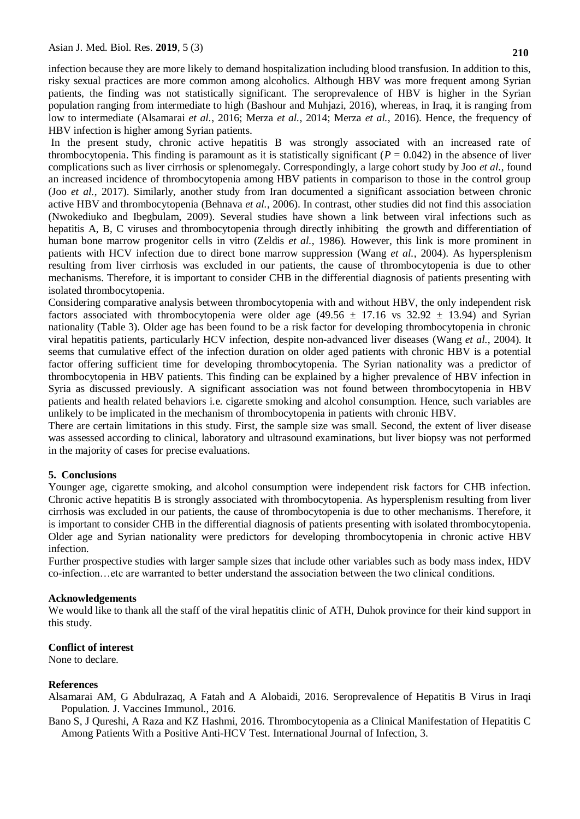infection because they are more likely to demand hospitalization including blood transfusion. In addition to this, risky sexual practices are more common among alcoholics. Although HBV was more frequent among Syrian patients, the finding was not statistically significant. The seroprevalence of HBV is higher in the Syrian population ranging from intermediate to high (Bashour [and Muhjazi, 2016\)](#page-4-10), whereas, in Iraq, it is ranging from low to intermediate [\(Alsamarai](#page-3-1) *et al.*, 2016; [Merza](#page-4-11) *et al.*, 2014; Merza *et al.*[, 2016\)](#page-4-12). Hence, the frequency of HBV infection is higher among Syrian patients.

In the present study, chronic active hepatitis B was strongly associated with an increased rate of thrombocytopenia. This finding is paramount as it is statistically significant  $(P = 0.042)$  in the absence of liver complications such as liver cirrhosis or splenomegaly. Correspondingly, a large cohort study by Joo *et al.*, found an increased incidence of thrombocytopenia among HBV patients in comparison to those in the control group (Joo *et al.*[, 2017\)](#page-4-13). Similarly, another study from Iran documented a significant association between chronic active HBV and thrombocytopenia [\(Behnava](#page-4-14) *et al.*, 2006). In contrast, other studies did not find this association [\(Nwokediuko and Ibegbulam, 2009\)](#page-4-15). Several studies have shown a link between viral infections such as hepatitis A, B, C viruses and thrombocytopenia through directly inhibiting the growth and differentiation of human bone marrow progenitor cells in vitro (Zeldis *et al.*[, 1986\)](#page-4-16). However, this link is more prominent in patients with HCV infection due to direct bone marrow suppression (Wang *et al.*[, 2004\)](#page-4-17). As hypersplenism resulting from liver cirrhosis was excluded in our patients, the cause of thrombocytopenia is due to other mechanisms. Therefore, it is important to consider CHB in the differential diagnosis of patients presenting with isolated thrombocytopenia.

Considering comparative analysis between thrombocytopenia with and without HBV, the only independent risk factors associated with thrombocytopenia were older age (49.56  $\pm$  17.16 vs 32.92  $\pm$  13.94) and Syrian nationality (Table 3). Older age has been found to be a risk factor for developing thrombocytopenia in chronic viral hepatitis patients, particularly HCV infection, despite non-advanced liver diseases (Wang *et al.*[, 2004\)](#page-4-17). It seems that cumulative effect of the infection duration on older aged patients with chronic HBV is a potential factor offering sufficient time for developing thrombocytopenia. The Syrian nationality was a predictor of thrombocytopenia in HBV patients. This finding can be explained by a higher prevalence of HBV infection in Syria as discussed previously. A significant association was not found between thrombocytopenia in HBV patients and health related behaviors i.e. cigarette smoking and alcohol consumption. Hence, such variables are unlikely to be implicated in the mechanism of thrombocytopenia in patients with chronic HBV.

There are certain limitations in this study. First, the sample size was small. Second, the extent of liver disease was assessed according to clinical, laboratory and ultrasound examinations, but liver biopsy was not performed in the majority of cases for precise evaluations.

#### **5. Conclusions**

Younger age, cigarette smoking, and alcohol consumption were independent risk factors for CHB infection. Chronic active hepatitis B is strongly associated with thrombocytopenia. As hypersplenism resulting from liver cirrhosis was excluded in our patients, the cause of thrombocytopenia is due to other mechanisms. Therefore, it is important to consider CHB in the differential diagnosis of patients presenting with isolated thrombocytopenia. Older age and Syrian nationality were predictors for developing thrombocytopenia in chronic active HBV infection.

Further prospective studies with larger sample sizes that include other variables such as body mass index, HDV co-infection…etc are warranted to better understand the association between the two clinical conditions.

#### **Acknowledgements**

We would like to thank all the staff of the viral hepatitis clinic of ATH, Duhok province for their kind support in this study.

# **Conflict of interest**

None to declare.

#### **References**

<span id="page-3-1"></span>Alsamarai AM, G Abdulrazaq, A Fatah and A Alobaidi, 2016. Seroprevalence of Hepatitis B Virus in Iraqi Population. J. Vaccines Immunol., 2016.

<span id="page-3-0"></span>Bano S, J Qureshi, A Raza and KZ Hashmi, 2016. Thrombocytopenia as a Clinical Manifestation of Hepatitis C Among Patients With a Positive Anti-HCV Test. International Journal of Infection, 3.